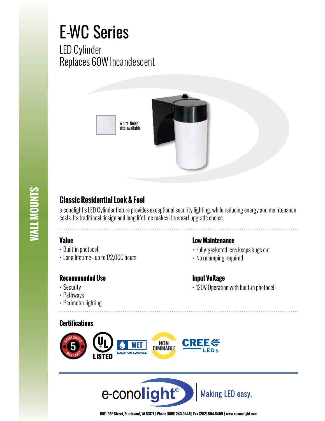## E-WC Series

LED Cylinder Replaces 60W Incandescent





## **Classic Residential Look & Feel**

e-conolight's LED Cylinder fixture provides exceptional security lighting, while reducing energy and maintenance costs. Its traditional design and long lifetime makes it a smart upgrade choice.

## **Value**

- Built-in photocell
- Long lifetime up to 172,000 hours

## **Recommended Use**

- Security
- Pathways
- Perimeter lighting

## **Certifications**





**1501 96th Street, Sturtevant, WI 53177 | Phone (888) 243-9445 | Fax (262) 504-5409 | www.e–conolight.com**

## **Low Maintenance**

- Fully-gasketed lens keeps bugs out
- No relamping required

## **Input Voltage**

• 120V Operation with built-in photocell